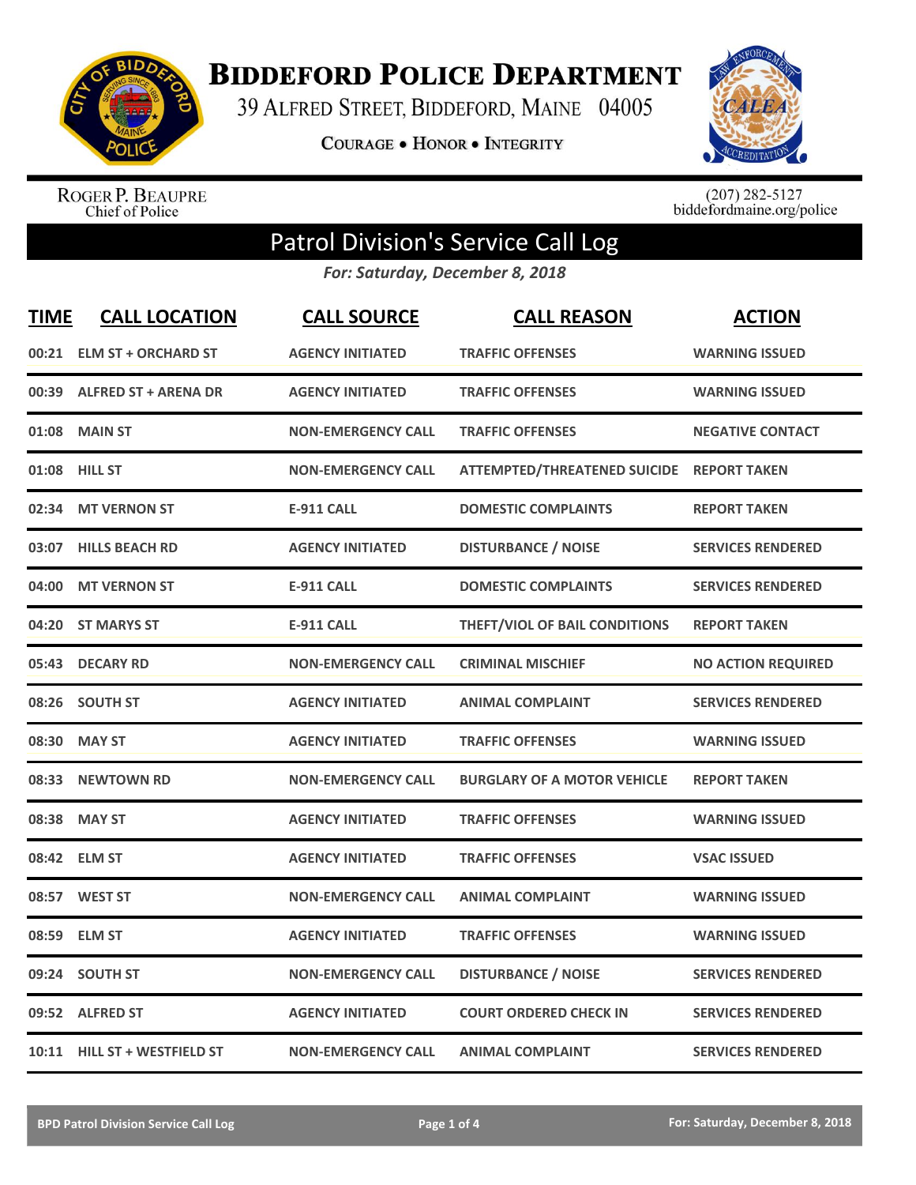

**BIDDEFORD POLICE DEPARTMENT** 

39 ALFRED STREET, BIDDEFORD, MAINE 04005

**COURAGE . HONOR . INTEGRITY** 



ROGER P. BEAUPRE<br>Chief of Police

 $(207)$  282-5127<br>biddefordmaine.org/police

## Patrol Division's Service Call Log

*For: Saturday, December 8, 2018*

| <b>TIME</b> | <b>CALL LOCATION</b>         | <b>CALL SOURCE</b>        | <b>CALL REASON</b>                        | <b>ACTION</b>             |
|-------------|------------------------------|---------------------------|-------------------------------------------|---------------------------|
|             | 00:21 ELM ST + ORCHARD ST    | <b>AGENCY INITIATED</b>   | <b>TRAFFIC OFFENSES</b>                   | <b>WARNING ISSUED</b>     |
|             | 00:39 ALFRED ST + ARENA DR   | <b>AGENCY INITIATED</b>   | <b>TRAFFIC OFFENSES</b>                   | <b>WARNING ISSUED</b>     |
| 01:08       | <b>MAIN ST</b>               | <b>NON-EMERGENCY CALL</b> | <b>TRAFFIC OFFENSES</b>                   | <b>NEGATIVE CONTACT</b>   |
|             | 01:08 HILL ST                | <b>NON-EMERGENCY CALL</b> | ATTEMPTED/THREATENED SUICIDE REPORT TAKEN |                           |
| 02:34       | <b>MT VERNON ST</b>          | <b>E-911 CALL</b>         | <b>DOMESTIC COMPLAINTS</b>                | <b>REPORT TAKEN</b>       |
|             | 03:07 HILLS BEACH RD         | <b>AGENCY INITIATED</b>   | <b>DISTURBANCE / NOISE</b>                | <b>SERVICES RENDERED</b>  |
| 04:00       | <b>MT VERNON ST</b>          | <b>E-911 CALL</b>         | <b>DOMESTIC COMPLAINTS</b>                | <b>SERVICES RENDERED</b>  |
| 04:20       | <b>ST MARYS ST</b>           | <b>E-911 CALL</b>         | THEFT/VIOL OF BAIL CONDITIONS             | <b>REPORT TAKEN</b>       |
| 05:43       | <b>DECARY RD</b>             | <b>NON-EMERGENCY CALL</b> | <b>CRIMINAL MISCHIEF</b>                  | <b>NO ACTION REQUIRED</b> |
|             | 08:26 SOUTH ST               | <b>AGENCY INITIATED</b>   | <b>ANIMAL COMPLAINT</b>                   | <b>SERVICES RENDERED</b>  |
|             | 08:30 MAY ST                 | <b>AGENCY INITIATED</b>   | <b>TRAFFIC OFFENSES</b>                   | <b>WARNING ISSUED</b>     |
| 08:33       | <b>NEWTOWN RD</b>            | <b>NON-EMERGENCY CALL</b> | <b>BURGLARY OF A MOTOR VEHICLE</b>        | <b>REPORT TAKEN</b>       |
| 08:38       | <b>MAY ST</b>                | <b>AGENCY INITIATED</b>   | <b>TRAFFIC OFFENSES</b>                   | <b>WARNING ISSUED</b>     |
| 08:42       | <b>ELM ST</b>                | <b>AGENCY INITIATED</b>   | <b>TRAFFIC OFFENSES</b>                   | <b>VSAC ISSUED</b>        |
| 08:57       | <b>WEST ST</b>               | <b>NON-EMERGENCY CALL</b> | <b>ANIMAL COMPLAINT</b>                   | <b>WARNING ISSUED</b>     |
|             | 08:59 ELM ST                 | <b>AGENCY INITIATED</b>   | <b>TRAFFIC OFFENSES</b>                   | <b>WARNING ISSUED</b>     |
| 09:24       | <b>SOUTH ST</b>              | <b>NON-EMERGENCY CALL</b> | <b>DISTURBANCE / NOISE</b>                | <b>SERVICES RENDERED</b>  |
|             | 09:52 ALFRED ST              | <b>AGENCY INITIATED</b>   | <b>COURT ORDERED CHECK IN</b>             | <b>SERVICES RENDERED</b>  |
|             | 10:11 HILL ST + WESTFIELD ST | <b>NON-EMERGENCY CALL</b> | <b>ANIMAL COMPLAINT</b>                   | <b>SERVICES RENDERED</b>  |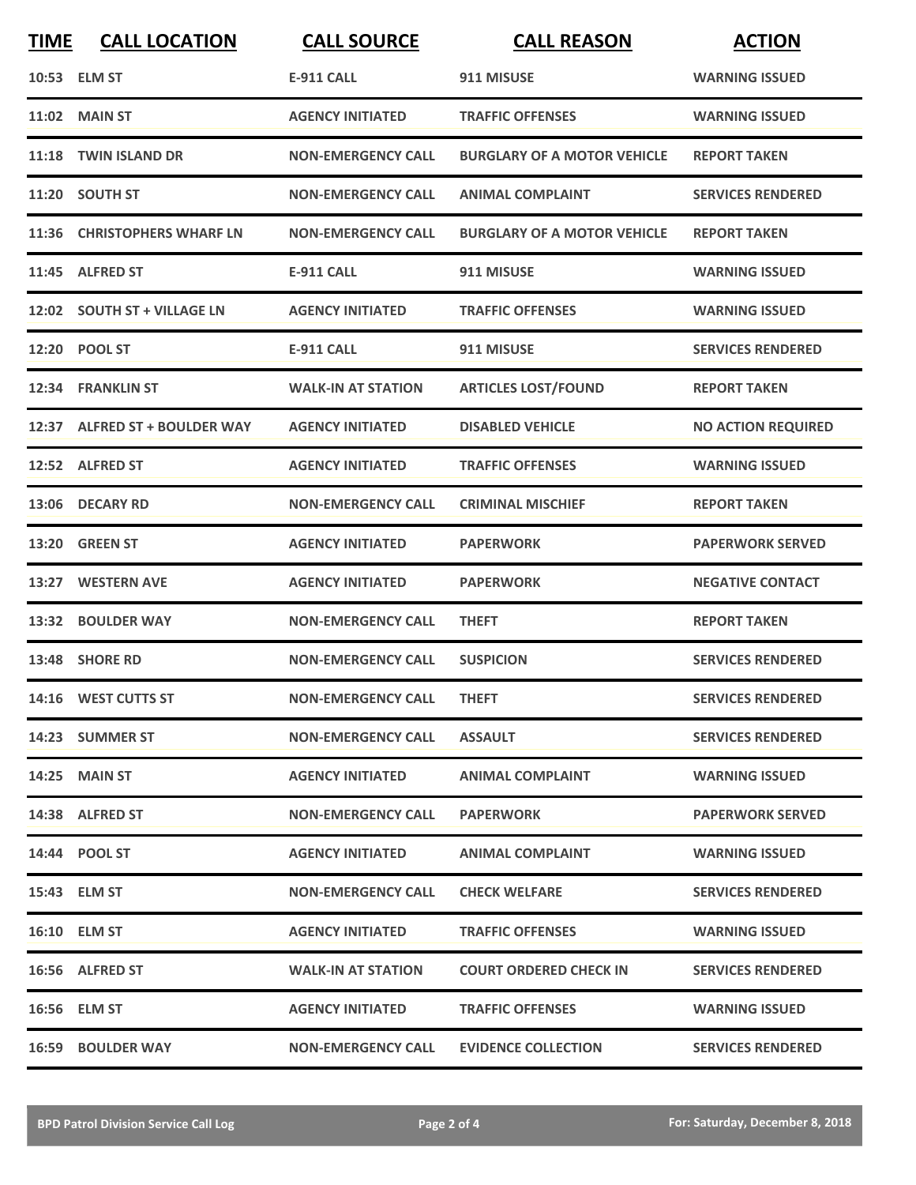| <b>TIME</b> | <b>CALL LOCATION</b>          | <b>CALL SOURCE</b>        | <b>CALL REASON</b>                 | <b>ACTION</b>             |
|-------------|-------------------------------|---------------------------|------------------------------------|---------------------------|
|             | 10:53 ELM ST                  | <b>E-911 CALL</b>         | 911 MISUSE                         | <b>WARNING ISSUED</b>     |
|             | 11:02 MAIN ST                 | <b>AGENCY INITIATED</b>   | <b>TRAFFIC OFFENSES</b>            | <b>WARNING ISSUED</b>     |
| 11:18       | <b>TWIN ISLAND DR</b>         | <b>NON-EMERGENCY CALL</b> | <b>BURGLARY OF A MOTOR VEHICLE</b> | <b>REPORT TAKEN</b>       |
|             | 11:20 SOUTH ST                | <b>NON-EMERGENCY CALL</b> | <b>ANIMAL COMPLAINT</b>            | <b>SERVICES RENDERED</b>  |
|             | 11:36 CHRISTOPHERS WHARF LN   | <b>NON-EMERGENCY CALL</b> | <b>BURGLARY OF A MOTOR VEHICLE</b> | <b>REPORT TAKEN</b>       |
|             | 11:45 ALFRED ST               | <b>E-911 CALL</b>         | 911 MISUSE                         | <b>WARNING ISSUED</b>     |
|             | 12:02 SOUTH ST + VILLAGE LN   | <b>AGENCY INITIATED</b>   | <b>TRAFFIC OFFENSES</b>            | <b>WARNING ISSUED</b>     |
|             | 12:20 POOL ST                 | <b>E-911 CALL</b>         | 911 MISUSE                         | <b>SERVICES RENDERED</b>  |
|             | 12:34 FRANKLIN ST             | <b>WALK-IN AT STATION</b> | <b>ARTICLES LOST/FOUND</b>         | <b>REPORT TAKEN</b>       |
|             | 12:37 ALFRED ST + BOULDER WAY | <b>AGENCY INITIATED</b>   | <b>DISABLED VEHICLE</b>            | <b>NO ACTION REQUIRED</b> |
|             | 12:52 ALFRED ST               | <b>AGENCY INITIATED</b>   | <b>TRAFFIC OFFENSES</b>            | <b>WARNING ISSUED</b>     |
|             | 13:06 DECARY RD               | <b>NON-EMERGENCY CALL</b> | <b>CRIMINAL MISCHIEF</b>           | <b>REPORT TAKEN</b>       |
|             | 13:20 GREEN ST                | <b>AGENCY INITIATED</b>   | <b>PAPERWORK</b>                   | <b>PAPERWORK SERVED</b>   |
|             | 13:27 WESTERN AVE             | <b>AGENCY INITIATED</b>   | <b>PAPERWORK</b>                   | <b>NEGATIVE CONTACT</b>   |
| 13:32       | <b>BOULDER WAY</b>            | <b>NON-EMERGENCY CALL</b> | <b>THEFT</b>                       | <b>REPORT TAKEN</b>       |
|             | 13:48 SHORE RD                | <b>NON-EMERGENCY CALL</b> | <b>SUSPICION</b>                   | <b>SERVICES RENDERED</b>  |
|             | 14:16 WEST CUTTS ST           | <b>NON-EMERGENCY CALL</b> | <b>THEFT</b>                       | <b>SERVICES RENDERED</b>  |
|             | 14:23 SUMMER ST               | <b>NON-EMERGENCY CALL</b> | <b>ASSAULT</b>                     | <b>SERVICES RENDERED</b>  |
|             | <b>14:25 MAIN ST</b>          | <b>AGENCY INITIATED</b>   | <b>ANIMAL COMPLAINT</b>            | <b>WARNING ISSUED</b>     |
|             | 14:38 ALFRED ST               | <b>NON-EMERGENCY CALL</b> | <b>PAPERWORK</b>                   | <b>PAPERWORK SERVED</b>   |
|             | 14:44 POOL ST                 | <b>AGENCY INITIATED</b>   | <b>ANIMAL COMPLAINT</b>            | <b>WARNING ISSUED</b>     |
|             | 15:43 ELM ST                  | <b>NON-EMERGENCY CALL</b> | <b>CHECK WELFARE</b>               | <b>SERVICES RENDERED</b>  |
|             | <b>16:10 ELM ST</b>           | <b>AGENCY INITIATED</b>   | <b>TRAFFIC OFFENSES</b>            | <b>WARNING ISSUED</b>     |
|             | 16:56 ALFRED ST               | <b>WALK-IN AT STATION</b> | <b>COURT ORDERED CHECK IN</b>      | <b>SERVICES RENDERED</b>  |
|             | 16:56 ELM ST                  | <b>AGENCY INITIATED</b>   | <b>TRAFFIC OFFENSES</b>            | <b>WARNING ISSUED</b>     |
|             | <b>16:59 BOULDER WAY</b>      | <b>NON-EMERGENCY CALL</b> | <b>EVIDENCE COLLECTION</b>         | <b>SERVICES RENDERED</b>  |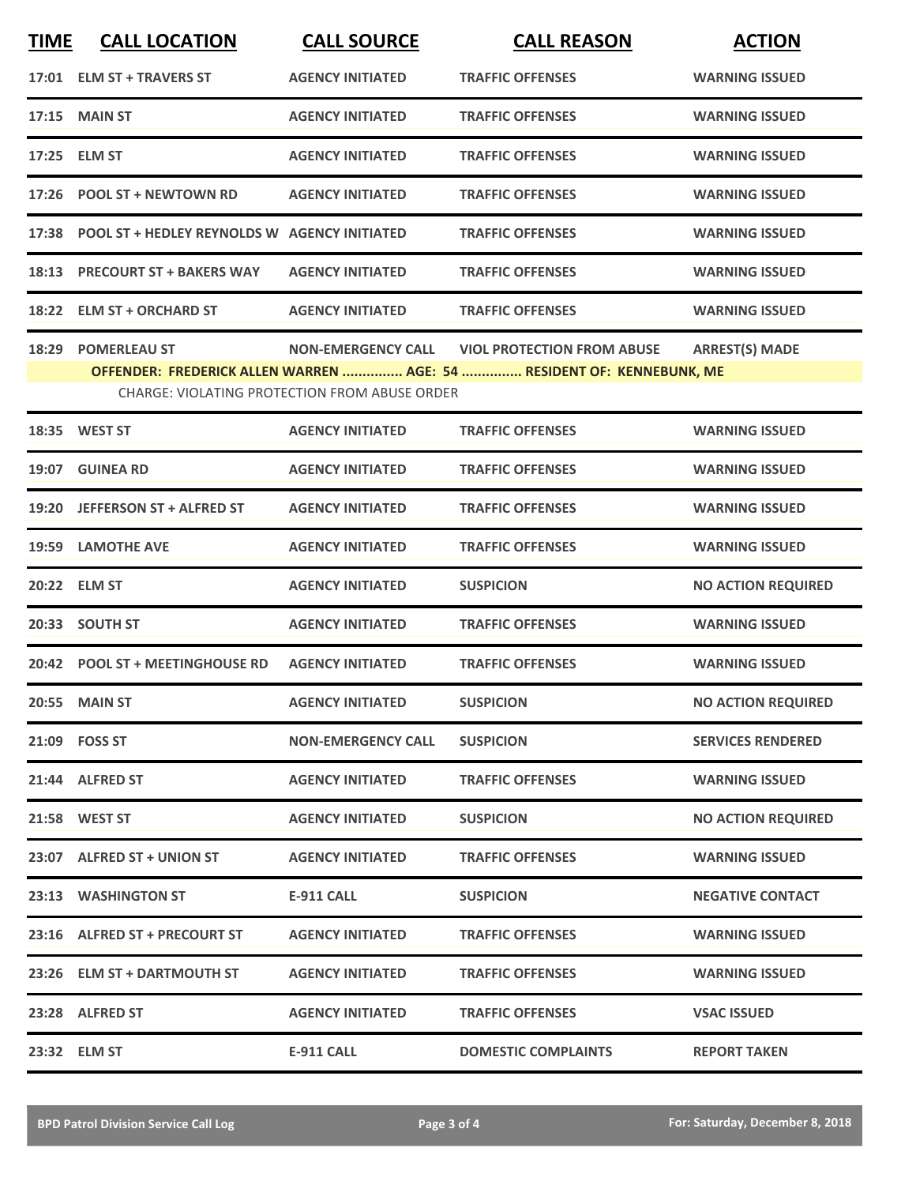| <b>TIME</b> | <b>CALL LOCATION</b>                               | <b>CALL SOURCE</b>                                                         | <b>CALL REASON</b>                                                                                         | <b>ACTION</b>             |
|-------------|----------------------------------------------------|----------------------------------------------------------------------------|------------------------------------------------------------------------------------------------------------|---------------------------|
|             | 17:01 ELM ST + TRAVERS ST                          | <b>AGENCY INITIATED</b>                                                    | <b>TRAFFIC OFFENSES</b>                                                                                    | <b>WARNING ISSUED</b>     |
| 17:15       | <b>MAIN ST</b>                                     | <b>AGENCY INITIATED</b>                                                    | <b>TRAFFIC OFFENSES</b>                                                                                    | <b>WARNING ISSUED</b>     |
| 17:25       | <b>ELM ST</b>                                      | <b>AGENCY INITIATED</b>                                                    | <b>TRAFFIC OFFENSES</b>                                                                                    | <b>WARNING ISSUED</b>     |
| 17:26       | <b>POOL ST + NEWTOWN RD</b>                        | <b>AGENCY INITIATED</b>                                                    | <b>TRAFFIC OFFENSES</b>                                                                                    | <b>WARNING ISSUED</b>     |
|             | 17:38 POOL ST + HEDLEY REYNOLDS W AGENCY INITIATED |                                                                            | <b>TRAFFIC OFFENSES</b>                                                                                    | <b>WARNING ISSUED</b>     |
| 18:13       | <b>PRECOURT ST + BAKERS WAY</b>                    | <b>AGENCY INITIATED</b>                                                    | <b>TRAFFIC OFFENSES</b>                                                                                    | <b>WARNING ISSUED</b>     |
|             | 18:22 ELM ST + ORCHARD ST                          | <b>AGENCY INITIATED</b>                                                    | <b>TRAFFIC OFFENSES</b>                                                                                    | <b>WARNING ISSUED</b>     |
| 18:29       | <b>POMERLEAU ST</b>                                | <b>NON-EMERGENCY CALL</b><br>CHARGE: VIOLATING PROTECTION FROM ABUSE ORDER | <b>VIOL PROTECTION FROM ABUSE</b><br>OFFENDER: FREDERICK ALLEN WARREN  AGE: 54  RESIDENT OF: KENNEBUNK, ME | <b>ARREST(S) MADE</b>     |
|             | 18:35 WEST ST                                      | <b>AGENCY INITIATED</b>                                                    | <b>TRAFFIC OFFENSES</b>                                                                                    | <b>WARNING ISSUED</b>     |
|             | 19:07 GUINEA RD                                    | <b>AGENCY INITIATED</b>                                                    | <b>TRAFFIC OFFENSES</b>                                                                                    | <b>WARNING ISSUED</b>     |
| 19:20       | <b>JEFFERSON ST + ALFRED ST</b>                    | <b>AGENCY INITIATED</b>                                                    | <b>TRAFFIC OFFENSES</b>                                                                                    | <b>WARNING ISSUED</b>     |
| 19:59       | <b>LAMOTHE AVE</b>                                 | <b>AGENCY INITIATED</b>                                                    | <b>TRAFFIC OFFENSES</b>                                                                                    | <b>WARNING ISSUED</b>     |
| 20:22       | <b>ELM ST</b>                                      | <b>AGENCY INITIATED</b>                                                    | <b>SUSPICION</b>                                                                                           | <b>NO ACTION REQUIRED</b> |
|             | 20:33 SOUTH ST                                     | <b>AGENCY INITIATED</b>                                                    | <b>TRAFFIC OFFENSES</b>                                                                                    | <b>WARNING ISSUED</b>     |
|             | 20:42 POOL ST + MEETINGHOUSE RD                    | <b>AGENCY INITIATED</b>                                                    | <b>TRAFFIC OFFENSES</b>                                                                                    | <b>WARNING ISSUED</b>     |
|             | 20:55 MAIN ST                                      | <b>AGENCY INITIATED</b>                                                    | SUSPICION                                                                                                  | <b>NO ACTION REQUIRED</b> |
|             | 21:09 FOSS ST                                      | <b>NON-EMERGENCY CALL</b>                                                  | <b>SUSPICION</b>                                                                                           | <b>SERVICES RENDERED</b>  |
|             | 21:44 ALFRED ST                                    | <b>AGENCY INITIATED</b>                                                    | <b>TRAFFIC OFFENSES</b>                                                                                    | <b>WARNING ISSUED</b>     |
|             | 21:58 WEST ST                                      | <b>AGENCY INITIATED</b>                                                    | <b>SUSPICION</b>                                                                                           | <b>NO ACTION REQUIRED</b> |
|             | 23:07 ALFRED ST + UNION ST                         | <b>AGENCY INITIATED</b>                                                    | <b>TRAFFIC OFFENSES</b>                                                                                    | <b>WARNING ISSUED</b>     |
|             | 23:13 WASHINGTON ST                                | <b>E-911 CALL</b>                                                          | <b>SUSPICION</b>                                                                                           | <b>NEGATIVE CONTACT</b>   |
|             | 23:16 ALFRED ST + PRECOURT ST                      | <b>AGENCY INITIATED</b>                                                    | <b>TRAFFIC OFFENSES</b>                                                                                    | <b>WARNING ISSUED</b>     |
|             | 23:26 ELM ST + DARTMOUTH ST                        | <b>AGENCY INITIATED</b>                                                    | <b>TRAFFIC OFFENSES</b>                                                                                    | <b>WARNING ISSUED</b>     |
|             | 23:28 ALFRED ST                                    | <b>AGENCY INITIATED</b>                                                    | <b>TRAFFIC OFFENSES</b>                                                                                    | <b>VSAC ISSUED</b>        |
|             | 23:32 ELM ST                                       | <b>E-911 CALL</b>                                                          | <b>DOMESTIC COMPLAINTS</b>                                                                                 | <b>REPORT TAKEN</b>       |